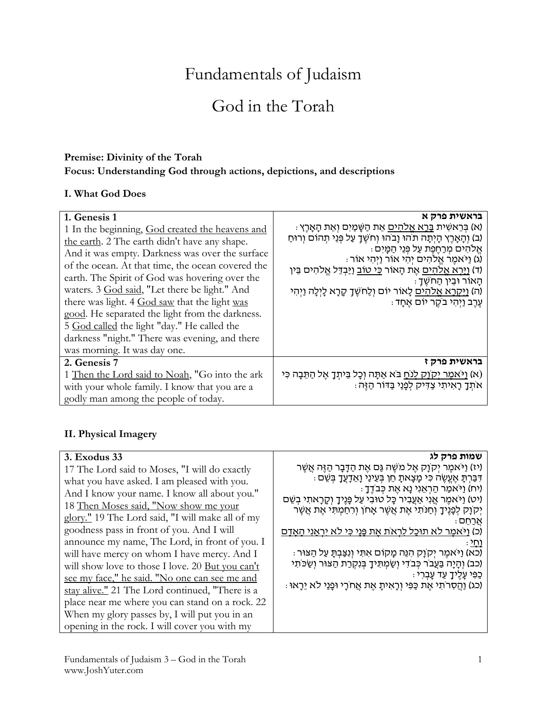# Fundamentals of Judaism

## God in the Torah

#### **Premise: Divinity of the Torah Focus: Understanding God through actions, depictions, and descriptions**

#### **I. What God Does**

| 1. Genesis 1<br>1 In the beginning, God created the heavens and<br>the earth. 2 The earth didn't have any shape.<br>And it was empty. Darkness was over the surface<br>of the ocean. At that time, the ocean covered the<br>earth. The Spirit of God was hovering over the<br>waters. 3 God said, "Let there be light." And<br>there was light. 4 God saw that the light was<br>good. He separated the light from the darkness.<br>5 God called the light "day." He called the<br>darkness "night." There was evening, and there<br>was morning. It was day one. | בראשית פרק א<br>: א) בְּרֵאשִׁית בָּרָא אֱלֹהִים אֶת הַשַּׁמַיִם וְאֶת הַאֲרֵץ)<br>(ב) וִהָאָרֵץ הָיִתָּה תֹהוּ וָבֹהוּ וְחֹשֵׁךָ עַל פְּנֵי תִהוֹם וְרוֹחַ<br>אֱלהים מְרַחֱפֶת עַל פְּנֵי הַמַּיִם :<br>ּ (ג) וַיֹּאמֶר אֱלֹהִים יִהִי אוֹר וַיִּהִי אוֹר)<br>(ד) <u>וירא אלהים</u> אֶת הָאוֹר <u>כּי טוֹב וַי</u> ּבְדֵּל אֱלֹהִים בֵּין<br>ּ הָאוֹר וּבִין הַחשֵׁךָ<br>(ה) <u>וַיִּקְרָא אֱלֹהִים</u> לָאוֹר יוֹם וְלַחֹשֶׁךָ קָרָא לָיְלָה וַיְהִי<br>ּעֵרֵב וַיִּהִי בֹקֵר יוֹם אַחָד |
|------------------------------------------------------------------------------------------------------------------------------------------------------------------------------------------------------------------------------------------------------------------------------------------------------------------------------------------------------------------------------------------------------------------------------------------------------------------------------------------------------------------------------------------------------------------|--------------------------------------------------------------------------------------------------------------------------------------------------------------------------------------------------------------------------------------------------------------------------------------------------------------------------------------------------------------------------------------------------------------------------------------------------------------------------------------------|
| 2. Genesis 7<br>1 Then the Lord said to Noah, "Go into the ark<br>with your whole family. I know that you are a<br>godly man among the people of today.                                                                                                                                                                                                                                                                                                                                                                                                          | בראשית פרק ז<br>(א) <u>ויאמר יקוק לנח</u> בא אַתָּה וְכָל בֵּיתְךָ אֶל הַתֵּבָה כִּי<br>אתך ראיתי צדיק לפני בדור הזה:                                                                                                                                                                                                                                                                                                                                                                      |

#### **II. Physical Imagery**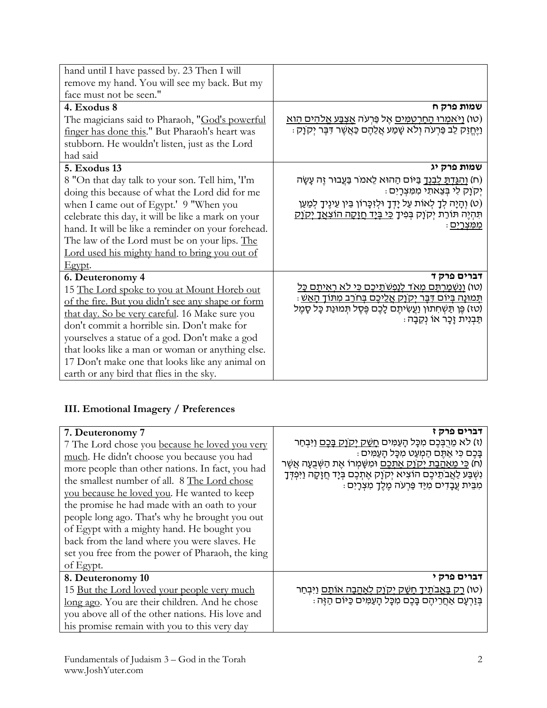| hand until I have passed by. 23 Then I will        |                                                                                                                                                    |
|----------------------------------------------------|----------------------------------------------------------------------------------------------------------------------------------------------------|
| remove my hand. You will see my back. But my       |                                                                                                                                                    |
| face must not be seen."                            |                                                                                                                                                    |
| 4. Exodus 8                                        | שמות פרק ח                                                                                                                                         |
| The magicians said to Pharaoh, "God's powerful     | <u>(טו) וַיֹּאמְרוּ הַחַרְטְמִּים</u> אֶל פַּרְעֹה <u>אַצְבַּע אֱלֹהִים הַוֹּא</u>                                                                 |
| finger has done this." But Pharaoh's heart was     | וַיֶּחֲזַק לֵב פַּרְעֹה וְלֹא שָׁמַע אֲלֵהֶם כַּאֲשֶׁר דִּבֶּר יְקִוָק :                                                                           |
| stubborn. He wouldn't listen, just as the Lord     |                                                                                                                                                    |
| had said                                           |                                                                                                                                                    |
| <b>5. Exodus 13</b>                                | שמות פרק יג                                                                                                                                        |
| 8 "On that day talk to your son. Tell him, 'I'm    | ח) <u>והגדת לבנד</u> בַּיּוֹם הַהוּא לֵאמֹר בַּעֲבוּר זֵה עָשָׂה)                                                                                  |
| doing this because of what the Lord did for me     | יקוַק לי בִּצְאתי מִמְצְרָיִם:                                                                                                                     |
| when I came out of Egypt.' 9 "When you             | (ט) וְהָיָה לְךָ לְאוֹת עַל יָדְךָ וּלְזִכְּרוֹן בֵּין עֵינֶיךָ לְמַעַן                                                                            |
| celebrate this day, it will be like a mark on your | תִּהְיֶה תּוֹרַת יְקוֹנְק בְּפִיךָ <u>כִּי בְּיָד חֲזָקָה הוֹצְאֲדָ יְקוֹק</u>                                                                     |
| hand. It will be like a reminder on your forehead. | <u>ממצרים</u> :                                                                                                                                    |
| The law of the Lord must be on your lips. The      |                                                                                                                                                    |
| Lord used his mighty hand to bring you out of      |                                                                                                                                                    |
| Egypt.                                             |                                                                                                                                                    |
| 6. Deuteronomy 4                                   | דברים פרק ד                                                                                                                                        |
| 15 The Lord spoke to you at Mount Horeb out        | (טו) וַנְשִׁמַרְתֵּם מְאֹד לִנַּפְשֹׁתֵיכֵם כִּי לֹא רְאִיתֵם כַּל                                                                                 |
| of the fire. But you didn't see any shape or form  | <u>תְּמוֹנַה בִּיוֹם דְּבֵר יִקְוַק אֲלֵיכֶם בְּחֹרֶב מִתּוֹךָ הָאֲשָׁ</u><br>(טז) פֶּן תַּשְׁחִתוּן וַעֲשִׂיתֶם לָכֶם פֶּסֶל תִּמוּנַת כָּל סָמֶל |
| that day. So be very careful. 16 Make sure you     | ּתַּבְנִית זַכָּר אוֹ נִקֶבָה :                                                                                                                    |
| don't commit a horrible sin. Don't make for        |                                                                                                                                                    |
| yourselves a statue of a god. Don't make a god     |                                                                                                                                                    |
| that looks like a man or woman or anything else.   |                                                                                                                                                    |
| 17 Don't make one that looks like any animal on    |                                                                                                                                                    |
| earth or any bird that flies in the sky.           |                                                                                                                                                    |

### **III. Emotional Imagery / Preferences**

| 7. Deuteronomy 7<br>7 The Lord chose you because he loved you very<br>much. He didn't choose you because you had<br>more people than other nations. In fact, you had<br>the smallest number of all. 8 The Lord chose<br>you because he loved you. He wanted to keep<br>the promise he had made with an oath to your<br>people long ago. That's why he brought you out<br>of Egypt with a mighty hand. He bought you<br>back from the land where you were slaves. He<br>set you free from the power of Pharaoh, the king<br>of Egypt. | דברים פרק ז<br>(ז) לא מֶרִבְּכֶם מִכָּל הַעֲמִים <u>חַשַּׁק יִקְוַק בַּכֶם</u> וַיִּבְחַר<br>בַּכֵם כִּי אֲתֵם הַמְעַט מִכָּל הַעֲמִים :<br>(ח) <u>כִּי מַאַהַבַת יִקְוַק אַתַּכֵם</u> וּמִשָּׁמִרוֹ אֵת הַשִּׁבַעָה אֲשֵׁר<br>וִשְׁבַּע לַאֲבֹתֵיכֶם הוֹצִיא יְקוָק אֶתְכֶם בְּיָד חֲזֶקָה וַיִּפְדְּךָ<br>ּמִבֵּית עַבָדים מִיַּד פַּרִעֹה מֶלֶךָ מִצְרָיִם |
|--------------------------------------------------------------------------------------------------------------------------------------------------------------------------------------------------------------------------------------------------------------------------------------------------------------------------------------------------------------------------------------------------------------------------------------------------------------------------------------------------------------------------------------|---------------------------------------------------------------------------------------------------------------------------------------------------------------------------------------------------------------------------------------------------------------------------------------------------------------------------------------------------------------|
| 8. Deuteronomy 10<br>15 <u>But the Lord loved your people very much</u><br>long ago. You are their children. And he chose<br>you above all of the other nations. His love and<br>his promise remain with you to this very day                                                                                                                                                                                                                                                                                                        | דברים פרק י<br>(טו) <u>רק באבתיך חשק יקוק לאהבה אותם ו</u> יִּבְחַר<br>בְּזֵרְעָם אַחֲרֵיהֵם בָּבֵם מִכָּל הָעַמִּים כַּיּוֹם הַזֵּה :                                                                                                                                                                                                                        |